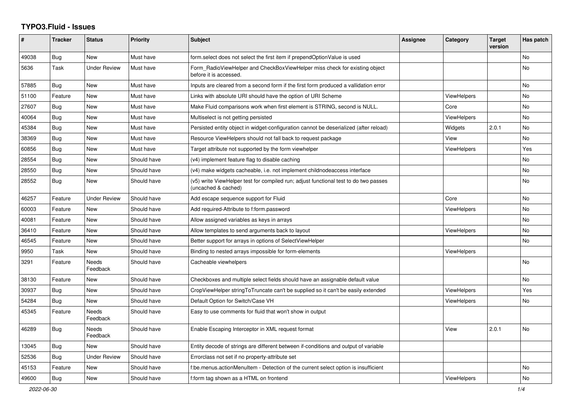## **TYPO3.Fluid - Issues**

| ∦     | <b>Tracker</b> | <b>Status</b>            | <b>Priority</b> | Subject                                                                                                     | Assignee | Category           | <b>Target</b><br>version | Has patch |
|-------|----------------|--------------------------|-----------------|-------------------------------------------------------------------------------------------------------------|----------|--------------------|--------------------------|-----------|
| 49038 | <b>Bug</b>     | <b>New</b>               | Must have       | form select does not select the first item if prependOptionValue is used                                    |          |                    |                          | No        |
| 5636  | Task           | <b>Under Review</b>      | Must have       | Form_RadioViewHelper and CheckBoxViewHelper miss check for existing object<br>before it is accessed.        |          |                    |                          | No        |
| 57885 | Bug            | <b>New</b>               | Must have       | Inputs are cleared from a second form if the first form produced a vallidation error                        |          |                    |                          | No        |
| 51100 | Feature        | New                      | Must have       | Links with absolute URI should have the option of URI Scheme                                                |          | <b>ViewHelpers</b> |                          | <b>No</b> |
| 27607 | Bug            | New                      | Must have       | Make Fluid comparisons work when first element is STRING, second is NULL.                                   |          | Core               |                          | No        |
| 40064 | Bug            | New                      | Must have       | Multiselect is not getting persisted                                                                        |          | <b>ViewHelpers</b> |                          | No        |
| 45384 | Bug            | <b>New</b>               | Must have       | Persisted entity object in widget-configuration cannot be deserialized (after reload)                       |          | Widgets            | 2.0.1                    | No        |
| 38369 | Bug            | New                      | Must have       | Resource ViewHelpers should not fall back to request package                                                |          | View               |                          | No        |
| 60856 | Bug            | New                      | Must have       | Target attribute not supported by the form viewhelper                                                       |          | <b>ViewHelpers</b> |                          | Yes       |
| 28554 | <b>Bug</b>     | <b>New</b>               | Should have     | (v4) implement feature flag to disable caching                                                              |          |                    |                          | No        |
| 28550 | Bug            | New                      | Should have     | (v4) make widgets cacheable, i.e. not implement childnodeaccess interface                                   |          |                    |                          | No        |
| 28552 | Bug            | New                      | Should have     | (v5) write ViewHelper test for compiled run; adjust functional test to do two passes<br>(uncached & cached) |          |                    |                          | No        |
| 46257 | Feature        | <b>Under Review</b>      | Should have     | Add escape sequence support for Fluid                                                                       |          | Core               |                          | No        |
| 60003 | Feature        | New                      | Should have     | Add required-Attribute to f:form.password                                                                   |          | ViewHelpers        |                          | No        |
| 40081 | Feature        | New                      | Should have     | Allow assigned variables as keys in arrays                                                                  |          |                    |                          | No.       |
| 36410 | Feature        | <b>New</b>               | Should have     | Allow templates to send arguments back to layout                                                            |          | <b>ViewHelpers</b> |                          | No.       |
| 46545 | Feature        | New                      | Should have     | Better support for arrays in options of SelectViewHelper                                                    |          |                    |                          | No        |
| 9950  | Task           | New                      | Should have     | Binding to nested arrays impossible for form-elements                                                       |          | ViewHelpers        |                          |           |
| 3291  | Feature        | Needs<br>Feedback        | Should have     | Cacheable viewhelpers                                                                                       |          |                    |                          | No        |
| 38130 | Feature        | New                      | Should have     | Checkboxes and multiple select fields should have an assignable default value                               |          |                    |                          | No        |
| 30937 | Bug            | New                      | Should have     | CropViewHelper stringToTruncate can't be supplied so it can't be easily extended                            |          | <b>ViewHelpers</b> |                          | Yes       |
| 54284 | Bug            | New                      | Should have     | Default Option for Switch/Case VH                                                                           |          | ViewHelpers        |                          | No        |
| 45345 | Feature        | <b>Needs</b><br>Feedback | Should have     | Easy to use comments for fluid that won't show in output                                                    |          |                    |                          |           |
| 46289 | Bug            | Needs<br>Feedback        | Should have     | Enable Escaping Interceptor in XML request format                                                           |          | View               | 2.0.1                    | No        |
| 13045 | Bug            | <b>New</b>               | Should have     | Entity decode of strings are different between if-conditions and output of variable                         |          |                    |                          |           |
| 52536 | <b>Bug</b>     | <b>Under Review</b>      | Should have     | Errorclass not set if no property-attribute set                                                             |          |                    |                          |           |
| 45153 | Feature        | New                      | Should have     | f:be.menus.actionMenuItem - Detection of the current select option is insufficient                          |          |                    |                          | No        |
| 49600 | <b>Bug</b>     | New                      | Should have     | f:form tag shown as a HTML on frontend                                                                      |          | <b>ViewHelpers</b> |                          | No        |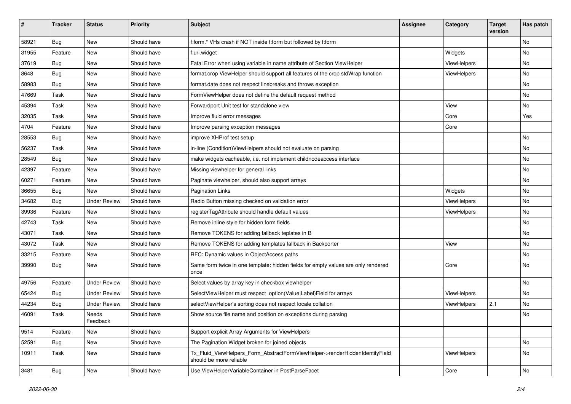| #     | <b>Tracker</b> | <b>Status</b>       | <b>Priority</b> | <b>Subject</b>                                                                                         | <b>Assignee</b> | Category    | <b>Target</b><br>version | Has patch |
|-------|----------------|---------------------|-----------------|--------------------------------------------------------------------------------------------------------|-----------------|-------------|--------------------------|-----------|
| 58921 | Bug            | New                 | Should have     | f:form.* VHs crash if NOT inside f:form but followed by f:form                                         |                 |             |                          | <b>No</b> |
| 31955 | Feature        | New                 | Should have     | f:uri.widget                                                                                           |                 | Widgets     |                          | No        |
| 37619 | Bug            | New                 | Should have     | Fatal Error when using variable in name attribute of Section ViewHelper                                |                 | ViewHelpers |                          | No        |
| 8648  | Bug            | New                 | Should have     | format.crop ViewHelper should support all features of the crop stdWrap function                        |                 | ViewHelpers |                          | No        |
| 58983 | Bug            | New                 | Should have     | format.date does not respect linebreaks and throws exception                                           |                 |             |                          | No        |
| 47669 | Task           | New                 | Should have     | FormViewHelper does not define the default request method                                              |                 |             |                          | No        |
| 45394 | Task           | New                 | Should have     | Forwardport Unit test for standalone view                                                              |                 | View        |                          | No        |
| 32035 | Task           | New                 | Should have     | Improve fluid error messages                                                                           |                 | Core        |                          | Yes       |
| 4704  | Feature        | New                 | Should have     | Improve parsing exception messages                                                                     |                 | Core        |                          |           |
| 28553 | Bug            | New                 | Should have     | improve XHProf test setup                                                                              |                 |             |                          | No        |
| 56237 | Task           | New                 | Should have     | in-line (Condition) ViewHelpers should not evaluate on parsing                                         |                 |             |                          | <b>No</b> |
| 28549 | Bug            | New                 | Should have     | make widgets cacheable, i.e. not implement childnodeaccess interface                                   |                 |             |                          | No        |
| 42397 | Feature        | New                 | Should have     | Missing viewhelper for general links                                                                   |                 |             |                          | No        |
| 60271 | Feature        | New                 | Should have     | Paginate viewhelper, should also support arrays                                                        |                 |             |                          | No        |
| 36655 | Bug            | New                 | Should have     | <b>Pagination Links</b>                                                                                |                 | Widgets     |                          | No        |
| 34682 | Bug            | <b>Under Review</b> | Should have     | Radio Button missing checked on validation error                                                       |                 | ViewHelpers |                          | No        |
| 39936 | Feature        | New                 | Should have     | registerTagAttribute should handle default values                                                      |                 | ViewHelpers |                          | No        |
| 42743 | Task           | New                 | Should have     | Remove inline style for hidden form fields                                                             |                 |             |                          | No        |
| 43071 | Task           | <b>New</b>          | Should have     | Remove TOKENS for adding fallback teplates in B                                                        |                 |             |                          | No        |
| 43072 | Task           | New                 | Should have     | Remove TOKENS for adding templates fallback in Backporter                                              |                 | View        |                          | No        |
| 33215 | Feature        | New                 | Should have     | RFC: Dynamic values in ObjectAccess paths                                                              |                 |             |                          | No        |
| 39990 | Bug            | <b>New</b>          | Should have     | Same form twice in one template: hidden fields for empty values are only rendered<br>once              |                 | Core        |                          | No        |
| 49756 | Feature        | <b>Under Review</b> | Should have     | Select values by array key in checkbox viewhelper                                                      |                 |             |                          | <b>No</b> |
| 65424 | Bug            | <b>Under Review</b> | Should have     | SelectViewHelper must respect option(Value Label)Field for arrays                                      |                 | ViewHelpers |                          | No        |
| 44234 | Bug            | <b>Under Review</b> | Should have     | selectViewHelper's sorting does not respect locale collation                                           |                 | ViewHelpers | 2.1                      | No        |
| 46091 | Task           | Needs<br>Feedback   | Should have     | Show source file name and position on exceptions during parsing                                        |                 |             |                          | No        |
| 9514  | Feature        | New                 | Should have     | Support explicit Array Arguments for ViewHelpers                                                       |                 |             |                          |           |
| 52591 | <b>Bug</b>     | New                 | Should have     | The Pagination Widget broken for joined objects                                                        |                 |             |                          | No        |
| 10911 | Task           | New                 | Should have     | Tx_Fluid_ViewHelpers_Form_AbstractFormViewHelper->renderHiddenIdentityField<br>should be more reliable |                 | ViewHelpers |                          | No        |
| 3481  | Bug            | New                 | Should have     | Use ViewHelperVariableContainer in PostParseFacet                                                      |                 | Core        |                          | No        |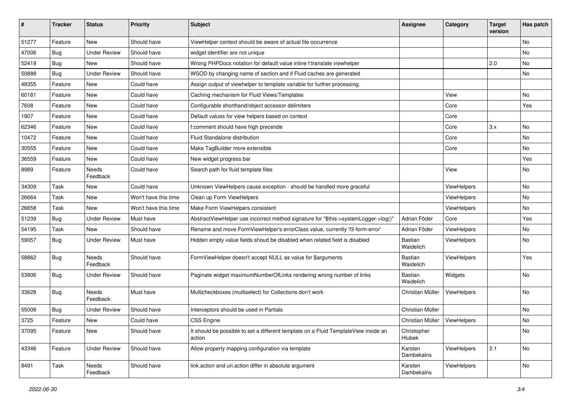| #     | <b>Tracker</b> | <b>Status</b>            | <b>Priority</b>      | <b>Subject</b>                                                                                | <b>Assignee</b>             | Category    | <b>Target</b><br>version | Has patch |
|-------|----------------|--------------------------|----------------------|-----------------------------------------------------------------------------------------------|-----------------------------|-------------|--------------------------|-----------|
| 51277 | Feature        | New                      | Should have          | ViewHelper context should be aware of actual file occurrence                                  |                             |             |                          | No        |
| 47006 | Bug            | <b>Under Review</b>      | Should have          | widget identifier are not unique                                                              |                             |             |                          | No        |
| 52419 | Bug            | New                      | Should have          | Wrong PHPDocs notation for default value inline f:translate viewhelper                        |                             |             | 2.0                      | No        |
| 50888 | Bug            | <b>Under Review</b>      | Should have          | WSOD by changing name of section and if Fluid caches are generated                            |                             |             |                          | No        |
| 48355 | Feature        | New                      | Could have           | Assign output of viewhelper to template variable for further processing.                      |                             |             |                          |           |
| 60181 | Feature        | New                      | Could have           | Caching mechanism for Fluid Views/Templates                                                   |                             | View        |                          | No        |
| 7608  | Feature        | New                      | Could have           | Configurable shorthand/object accessor delimiters                                             |                             | Core        |                          | Yes       |
| 1907  | Feature        | New                      | Could have           | Default values for view helpers based on context                                              |                             | Core        |                          |           |
| 62346 | Feature        | New                      | Could have           | f:comment should have high precende                                                           |                             | Core        | 3.x                      | No        |
| 10472 | Feature        | New                      | Could have           | Fluid Standalone distribution                                                                 |                             | Core        |                          | No        |
| 30555 | Feature        | <b>New</b>               | Could have           | Make TagBuilder more extensible                                                               |                             | Core        |                          | No.       |
| 36559 | Feature        | New                      | Could have           | New widget progress bar                                                                       |                             |             |                          | Yes       |
| 8989  | Feature        | Needs<br>Feedback        | Could have           | Search path for fluid template files                                                          |                             | View        |                          | No        |
| 34309 | Task           | New                      | Could have           | Unknown ViewHelpers cause exception - should be handled more graceful                         |                             | ViewHelpers |                          | No        |
| 26664 | Task           | New                      | Won't have this time | Clean up Form ViewHelpers                                                                     |                             | ViewHelpers |                          | No        |
| 26658 | Task           | New                      | Won't have this time | Make Form ViewHelpers consistent                                                              |                             | ViewHelpers |                          | No        |
| 51239 | Bug            | <b>Under Review</b>      | Must have            | AbstractViewHelper use incorrect method signature for "\$this->systemLogger->log()"           | Adrian Föder                | Core        |                          | Yes       |
| 54195 | Task           | <b>New</b>               | Should have          | Rename and move FormViewHelper's errorClass value, currently 'f3-form-error'                  | Adrian Föder                | ViewHelpers |                          | No        |
| 59057 | Bug            | <b>Under Review</b>      | Must have            | Hidden empty value fields shoud be disabled when related field is disabled                    | Bastian<br>Waidelich        | ViewHelpers |                          | No        |
| 58862 | Bug            | <b>Needs</b><br>Feedback | Should have          | FormViewHelper doesn't accept NULL as value for \$arguments                                   | <b>Bastian</b><br>Waidelich | ViewHelpers |                          | Yes       |
| 53806 | Bug            | <b>Under Review</b>      | Should have          | Paginate widget maximumNumberOfLinks rendering wrong number of links                          | Bastian<br>Waidelich        | Widgets     |                          | No        |
| 33628 | <b>Bug</b>     | Needs<br>Feedback        | Must have            | Multicheckboxes (multiselect) for Collections don't work                                      | Christian Müller            | ViewHelpers |                          | No        |
| 55008 | Bug            | <b>Under Review</b>      | Should have          | Interceptors should be used in Partials                                                       | Christian Müller            |             |                          | No        |
| 3725  | Feature        | New                      | Could have           | <b>CSS Engine</b>                                                                             | Christian Müller            | ViewHelpers |                          | No        |
| 37095 | Feature        | New                      | Should have          | It should be possible to set a different template on a Fluid TemplateView inside an<br>action | Christopher<br>Hlubek       |             |                          | No        |
| 43346 | Feature        | <b>Under Review</b>      | Should have          | Allow property mapping configuration via template                                             | Karsten<br>Dambekalns       | ViewHelpers | 2.1                      | No        |
| 8491  | Task           | Needs<br>Feedback        | Should have          | link.action and uri.action differ in absolute argument                                        | Karsten<br>Dambekalns       | ViewHelpers |                          | No        |